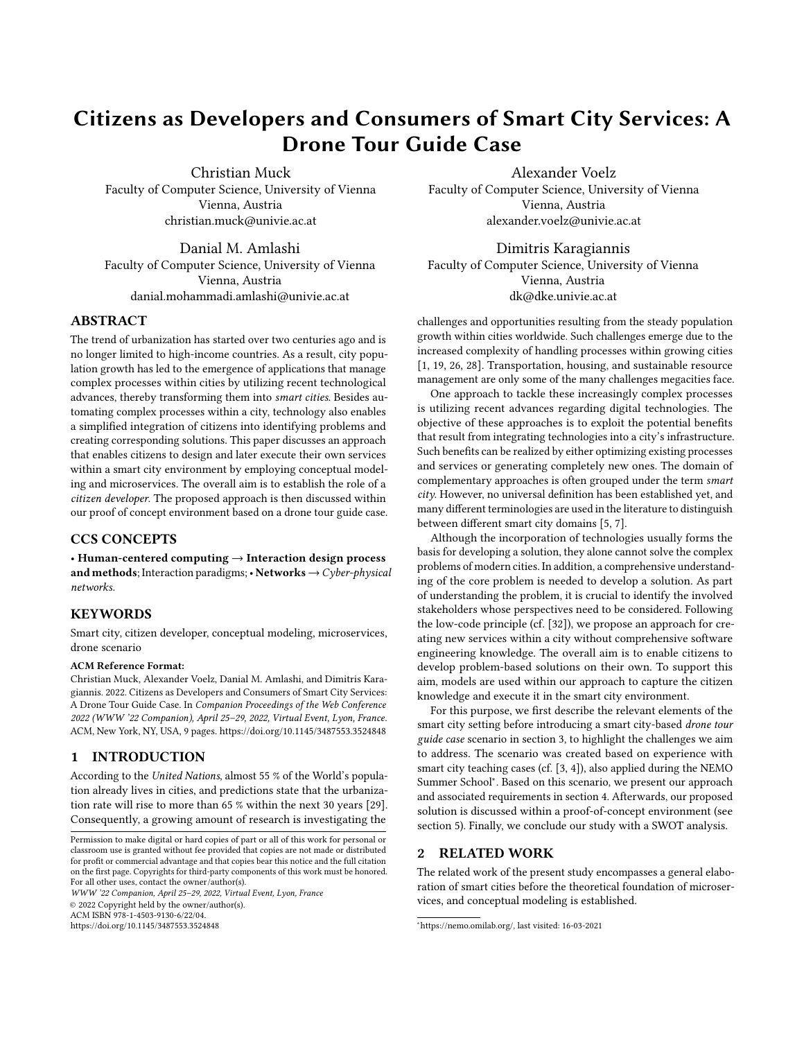# Citizens as Developers and Consumers of Smart City Services: A Drone Tour Guide Case

[Christian Muck](https://orcid.org/0000-0002-2654-1070) Faculty of Computer Science, University of Vienna Vienna, Austria christian.muck@univie.ac.at

[Danial M. Amlashi](https://orcid.org/0000-0003-3628-5725) Faculty of Computer Science, University of Vienna Vienna, Austria danial.mohammadi.amlashi@univie.ac.at

# ABSTRACT

The trend of urbanization has started over two centuries ago and is no longer limited to high-income countries. As a result, city population growth has led to the emergence of applications that manage complex processes within cities by utilizing recent technological advances, thereby transforming them into smart cities. Besides automating complex processes within a city, technology also enables a simplified integration of citizens into identifying problems and creating corresponding solutions. This paper discusses an approach that enables citizens to design and later execute their own services within a smart city environment by employing conceptual modeling and microservices. The overall aim is to establish the role of a citizen developer. The proposed approach is then discussed within our proof of concept environment based on a drone tour guide case.

# CCS CONCEPTS

• Human-centered computing  $\rightarrow$  Interaction design process and methods; Interaction paradigms; • Networks  $\rightarrow$  Cyber-physical networks.

# **KEYWORDS**

Smart city, citizen developer, conceptual modeling, microservices, drone scenario

### ACM Reference Format:

Christian Muck, Alexander Voelz, Danial M. Amlashi, and Dimitris Karagiannis. 2022. Citizens as Developers and Consumers of Smart City Services: A Drone Tour Guide Case. In Companion Proceedings of the Web Conference 2022 (WWW '22 Companion), April 25–29, 2022, Virtual Event, Lyon, France. ACM, New York, NY, USA, [9](#page-8-0) pages.<https://doi.org/10.1145/3487553.3524848>

# 1 INTRODUCTION

According to the United Nations, almost 55 % of the World's population already lives in cities, and predictions state that the urbanization rate will rise to more than 65 % within the next 30 years [\[29\]](#page-8-1). Consequently, a growing amount of research is investigating the

WWW '22 Companion, April 25–29, 2022, Virtual Event, Lyon, France © 2022 Copyright held by the owner/author(s). ACM ISBN 978-1-4503-9130-6/22/04. <https://doi.org/10.1145/3487553.3524848>

[Alexander Voelz](https://orcid.org/0000-0003-4580-1445) Faculty of Computer Science, University of Vienna Vienna, Austria

alexander.voelz@univie.ac.at

Dimitris Karagiannis Faculty of Computer Science, University of Vienna Vienna, Austria dk@dke.univie.ac.at

challenges and opportunities resulting from the steady population growth within cities worldwide. Such challenges emerge due to the increased complexity of handling processes within growing cities [\[1,](#page-8-2) [19,](#page-8-3) [26,](#page-8-4) [28\]](#page-8-5). Transportation, housing, and sustainable resource management are only some of the many challenges megacities face.

One approach to tackle these increasingly complex processes is utilizing recent advances regarding digital technologies. The objective of these approaches is to exploit the potential benefits that result from integrating technologies into a city's infrastructure. Such benefits can be realized by either optimizing existing processes and services or generating completely new ones. The domain of complementary approaches is often grouped under the term smart city. However, no universal definition has been established yet, and many different terminologies are used in the literature to distinguish between different smart city domains [\[5,](#page-8-6) [7\]](#page-8-7).

Although the incorporation of technologies usually forms the basis for developing a solution, they alone cannot solve the complex problems of modern cities. In addition, a comprehensive understanding of the core problem is needed to develop a solution. As part of understanding the problem, it is crucial to identify the involved stakeholders whose perspectives need to be considered. Following the low-code principle (cf. [\[32\]](#page-8-8)), we propose an approach for creating new services within a city without comprehensive software engineering knowledge. The overall aim is to enable citizens to develop problem-based solutions on their own. To support this aim, models are used within our approach to capture the citizen knowledge and execute it in the smart city environment.

For this purpose, we first describe the relevant elements of the smart city setting before introducing a smart city-based drone tour guide case scenario in section [3,](#page-2-0) to highlight the challenges we aim to address. The scenario was created based on experience with smart city teaching cases (cf. [\[3,](#page-8-9) [4\]](#page-8-10)), also applied during the NEMO Summer School[∗](#page-0-0) . Based on this scenario, we present our approach and associated requirements in section [4.](#page-4-0) Afterwards, our proposed solution is discussed within a proof-of-concept environment (see section [5\)](#page-5-0). Finally, we conclude our study with a SWOT analysis.

# 2 RELATED WORK

The related work of the present study encompasses a general elaboration of smart cities before the theoretical foundation of microservices, and conceptual modeling is established.

Permission to make digital or hard copies of part or all of this work for personal or classroom use is granted without fee provided that copies are not made or distributed for profit or commercial advantage and that copies bear this notice and the full citation on the first page. Copyrights for third-party components of this work must be honored. For all other uses, contact the owner/author(s).

<span id="page-0-0"></span><sup>∗</sup>[https://nemo.omilab.org/,](https://nemo.omilab.org/) last visited: 16-03-2021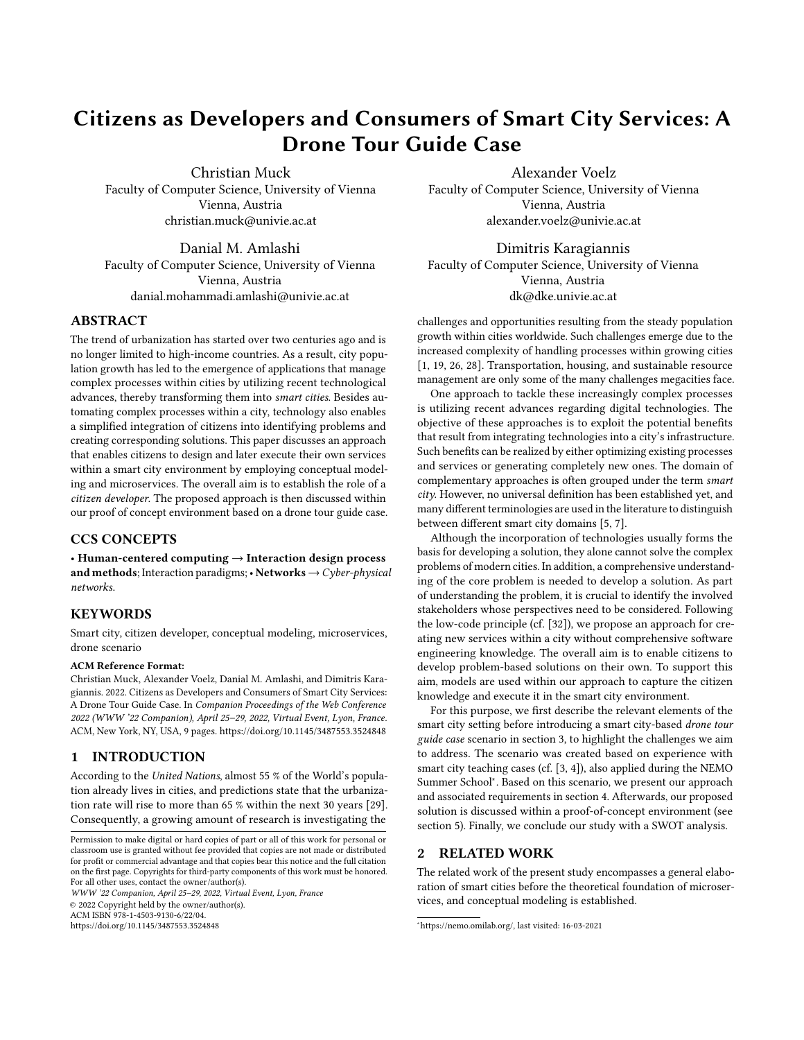### <span id="page-1-0"></span>2.1 Smart City Setting

For the general elaboration of the smart city setting, we first substantiate our understanding of the term smart city since no universally accepted definition exists in the scientific literature. Afterwards, we use established application dimensions to further classify our case within the smart city setting. In general, the term smart city refers to a set of approaches that use technologies to optimize existing or shape new processes in cities [\[1\]](#page-8-2). Such services are often provided by the city administration and consumed by other entities within the city. The overall goal is that either administrative processes, the life of citizens, or both, improve through the incorporation of Information and Communication Technologies (ICTs) [\[39\]](#page-8-11).

Nevertheless, a widely accepted definition of the term smart city has yet to be established, which is why various terms exist to describe different concepts of smart cities [\[5,](#page-8-6) [7\]](#page-8-7). Namely, Wired, Intelligent, Digital, or Knowledge City are all terms used in the scientific literature to distinguish between different areas and concepts of smart cities. Camero and Alba [\[5\]](#page-8-6) conducted an extensive review on the smart city literature and concluded that no universally used definition of the term smart city exists among their analyzed publications. To contribute to a more common understanding of the smart city domain, we adapted the following definition by the European Parliament [\[24\]](#page-8-12) instead of establishing our own:

"A smart city is a city seeking to address public issues via ICT-based solutions on the basis of a multistakeholder, municipally based partnership." [\[24,](#page-8-12) p.9]

We deemed this definition most suitable for this study's drone tour guide case while still leaving room for context-specific adaptions. Nevertheless, context-specific adaptions must be clarified during the design phase of applications within this broad definition. Moreover, we argue that a holistic view of the smart city setting is needed, in which citizens, technologies, and the environment are not treated as independent but interacting entities [\[27\]](#page-8-13).

To further classify our case study, we use six application dimensions proposed within the report on European smart cities that the European Parliament commissioned (e.g., [\[24\]](#page-8-12)). Since then, these dimensions have been adopted in the smart city literature [\[1,](#page-8-2) [5,](#page-8-6) [26\]](#page-8-4). A common approach to distinguish between the different application dimensions is to assess who provides the respective application, which infrastructure is needed, and whether it aims at generating benefits for administrative purposes, for the citizens, or both [\[39\]](#page-8-11). Considering the six application dimensions, we classify the drone tour guide case as an interface between Smart Living, Smart Economy, and partially Smart Mobility.

Smart Living describes applications in a smart city that enable new lifestyles and consumption through technology [\[5,](#page-8-6) [24\]](#page-8-12). In our case, the consumption of touristic attractions is enabled by combining drones with microservice-enriched city infrastructures. Additionally, we consider our tour guide to offer an innovative service in the sense of a Smart Economy application, which, among others, encompasses all kinds of technology-enabled innovations and new services [\[5,](#page-8-6) [24\]](#page-8-12). Finally, we classify the drone tour guide at least partially as a Smart Mobility application, which generally describes the enhancement of transport or logistics systems through

technologies [\[5,](#page-8-6) [24\]](#page-8-12). Even though the drone tour guide doesn't enhance transportation systems, it still depends on an interconnected system to safely navigate the city.

To sum up, we define a smart city in the context of our drone tour guide case as a city, in which ICTs are incorporated into a city's infrastructure and combined with other digital technologies to generate benefits for the citizens.

### 2.2 Microservices in Smart Cities

The following section covers the fundamentals of microservice architecture. The aim is not to provide an analysis of microservices in smart cities but rather to illustrate how the related concepts are used in the context of this paper.

As discussed in section [2.1,](#page-1-0) we understand a smart city as a city that tries to overcome its challenges by applying ICT-based solutions. ICT in smart cities often includes applications associated with the Internet of Things (IoT) [\[39\]](#page-8-11). These applications lead to increased complexity for software systems within smart cities. One way to tackle this complexity is the application of web services in the form of a microservice architecture [\[21\]](#page-8-14).

The functionality of a software system in a microservice architecture is separated into decoupled services, each focusing on an independent functionality [\[6,](#page-8-15) [23\]](#page-8-16). Each microservice can be written in its own programming language and possesses its own technology stack. This architecture reduces the dependency within the software system and supports individual deployment, maintenance, and replacement. Each service runs independently, and communication between services is done through light-weighted communication protocols (e.g., REST-like interfaces). As discussed later (see citizen developer in section [3.1\)](#page-2-1), communes, businesses, or even citizens can offer such services. The workflows of the software system are then executed through the connection of different microservices. Two ways of accomplishing this execution are orchestration, and choreography [\[6\]](#page-8-15). Orchestration means that a centralized service exists, which handles the execution of the workflow. In choreography, on the other hand, such a centralized service does not exist, and the workflow is embedded into the microservices.

We assume for our use case that different services in a smart city are provided by multiple stakeholders, like other citizens, businesses, or the municipality. The stakeholders should then be able to define their own services by orchestrating existing ones, as it is often done in microservice architectures. The business logic of the created services is then described through conceptual models, which are executed in a microservice environment (cf. [\[37,](#page-8-17) [38\]](#page-8-18)). In our paper, we analyze how such an approach can look like in the smart city domain and what the resulting requirements consist of. We focus our analysis of such services in a smart city on two viewpoints: consumers and developers of a service.

#### 2.3 Conceptual Modeling

We use conceptual models in this work to capture the knowledge exchanged between humans and the smart city environment. This approach provides an easy way for humans to describe their desired objectives in the smart city environment. In return, the environment needs to enable the execution of such descriptions, which implies that both sides can process the knowledge captured in the models.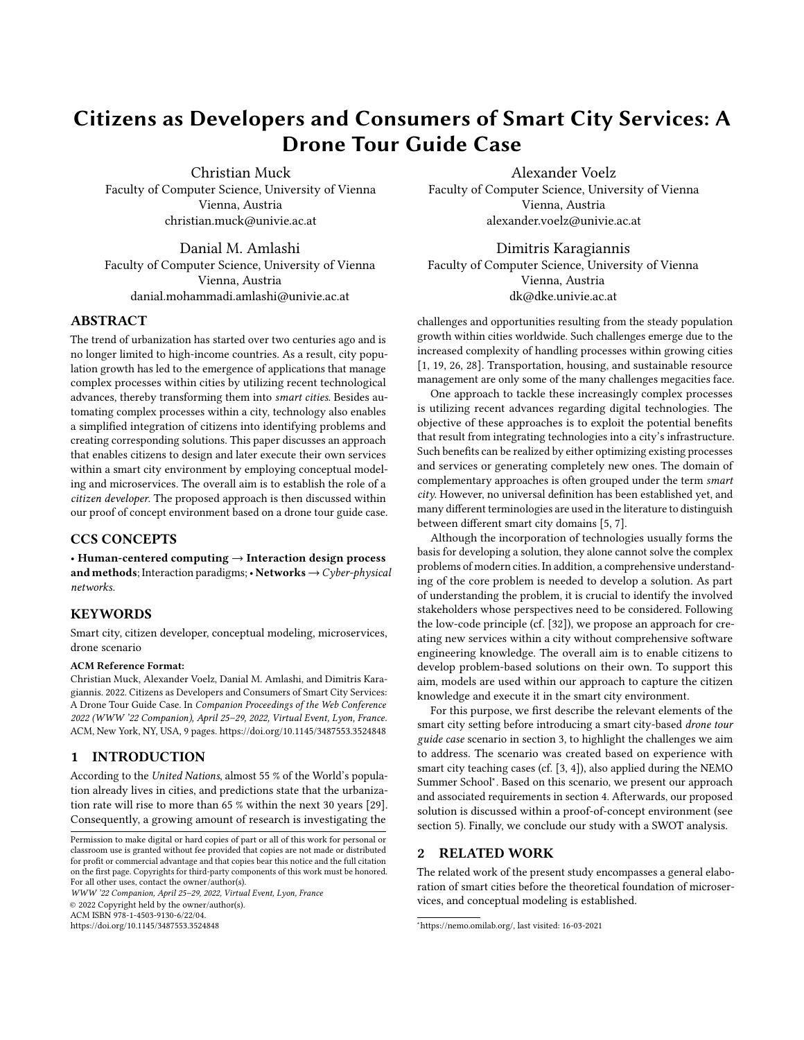Models are defined as conceptual models if the concepts from the domain under study and their relations are abstracted and represented in the model itself [\[25\]](#page-8-19). Thereby, conceptual models reduce the complexity of a given system under study through abstraction [\[13,](#page-8-20) [25\]](#page-8-19). This is achieved by omitting unnecessary characteristics and only including the essential ones in the model. Which characteristics are deemed important depends heavily on the creation purpose of the respective model [\[10\]](#page-8-21).

In computer science, conceptual models are used to represent existing or planed information systems [\[25\]](#page-8-19). Therefore, knowledge is described using dedicated modeling languages, which define the notation, syntax, and semantics of the models [\[12,](#page-8-22) [16,](#page-8-23) [35\]](#page-8-24). The benefit of using such a language is that everyone familiar with its' definition can understand the models created with it. Karagiannis et al. [\[16\]](#page-8-23) further argue that the value of models is increased if they can be automatically processed by tools to put the captured knowledge to work. This vital part distinguishes the modeling language (notation, syntax, and semantic) from a modeling method (including automated processing and guidelines to create models). In our paper, we use this feature of models for the interaction between humans and the smart city. Humans describe their knowledge using dedicated modeling languages, which can then be processed and executed in the smart city environment.

One way of processing models was introduced in [\[37,](#page-8-17) [38\]](#page-8-18) where Cyber-Physical Systems (CPS) are controlled using conceptual models. The idea of this approach is to capture both the domain knowledge and the tasks that should be executed in the models. The CPS offer their capabilities without having a deeper understanding of the domain and its processes. In [\[38\]](#page-8-18) these models are called Smart Models and used to decouple the CPS from the domain knowledge. In the context of this paper, we aim to build upon this idea while focusing on how the models can be used as means of communication between humans and a smart city environment. Nevertheless, it needs to be emphasized that we do not aim to design a new modeling method for these interactions. Instead, the objective is to analyze which requirements the models and the smart city environment must offer to allow such interactions. Therefore, we introduce the drone tour guide case in the next section as a smart city environment, in which models are used as means for communication.

### <span id="page-2-0"></span>3 THE DRONE TOUR GUIDE CASE

This section covers the relevant requirements and challenges of the drone tour guide case within the previously discussed smart city setting before the smart city environment, and the drone tour guide scenario itself is described.

# <span id="page-2-1"></span>3.1 Requirements and Challenges in the Smart City

First, we focus on requirements and associated challenges during the design phase of the drone tour guide. Before doing so, the different entities present in this scenario have to be determined.

As mentioned in the previous section, a smart city application usually consists of an interaction between the three entities (i) human, (ii) technology, and (iii) city infrastructure. Before assessing the individual requirements and key challenges for each of these entities, we have to differentiate between two possible expressions of the entity human. At this point, the ongoing trend towards citizen development needs to be introduced for better understanding.

A citizen developer is considered a developer with little to no experience regarding software engineering or coding. Yet, they use so-called low-code or no-code platforms designed to enable fast, easy, and cost-efficient application development [\[32\]](#page-8-8). The idea behind citizen development originates from the problem of shadow IT systems within organizations where employees use applications other than those provided by the organization itself to compensate for specific shortcomings [\[11\]](#page-8-25). Consequently, employees have been encouraged to develop such workarounds through in-house lowor no-code platforms in order to distributed resulting applications within the whole organization. Since then, the concept of citizen developers has also been applied outside of organizational borders, for example, with mobile app development [\[30\]](#page-8-26) or process mining applications [\[36\]](#page-8-27). A similar approach is present in the smart city literature, namely in the form of participation platforms [\[34\]](#page-8-28). Based on this elaboration, we distinguish between humans that use the drone tour guide service and those that develop the tours. In the following, we will refer to the first as citizen tourist while referring to the latter as citizen developer.

A general requirement during the process of designing smart city applications is to answer the question of how and to which extent the human will be incorporated into the respective application architecture [\[27\]](#page-8-13). In our case, both the citizen tourist and the citizen developer are part of the application architecture (see Figure [3\)](#page-5-1). The main requirement of citizen tourists is awareness about the available smart city services and applications. Accordingly, the lack of awareness is a key challenge for smart city development [\[19\]](#page-8-3). The subsequent challenges resulting from a lack of awareness affect both citizen tourists and citizen developers. The citizen tourists need to be aware of the offered drone tour guide service in order to use it, while the citizen developers need to have awareness in the first place to create tours. Therefore, the awareness and participation of citizen developers is a key requirement in the context of this study. Participation platforms have been proposed to raise citizen engagement to meet this general challenge in smart cities [\[34\]](#page-8-28).

The technology requirements of our drone tour guide are primarily related to the capabilities a drone needs to possess for performing its tasks. Voice recognition combined with natural language processing, image recognition, temperature sensors, and access to open data are only some of the requirements that need to be fulfilled to ensure the functionality of the drone tour guide. Another technological and, at the same time, a general challenge of smart cities are the continuous and sometimes drastic advances of the technologies used in this context, which in return cause difficulties regarding the interoperability and long-term planning perspective within these cities [\[20\]](#page-8-29). Consequently, an ICT-enhanced and connected infrastructure is a key requirement to be fulfilled. Otherwise, deficits in the infrastructure can become a significant barrier during the development of smart city services [\[26\]](#page-8-4). Finally, the lack of an operational framework has to be mentioned as a general challenge of smart city development [\[19\]](#page-8-3) that we aim to address by providing a framework for describing our smart city service on a high abstraction level. After assessing the requirements and challenges of the drone tour guide in the smart city setting, the specifications of the smart city environment have to be determined.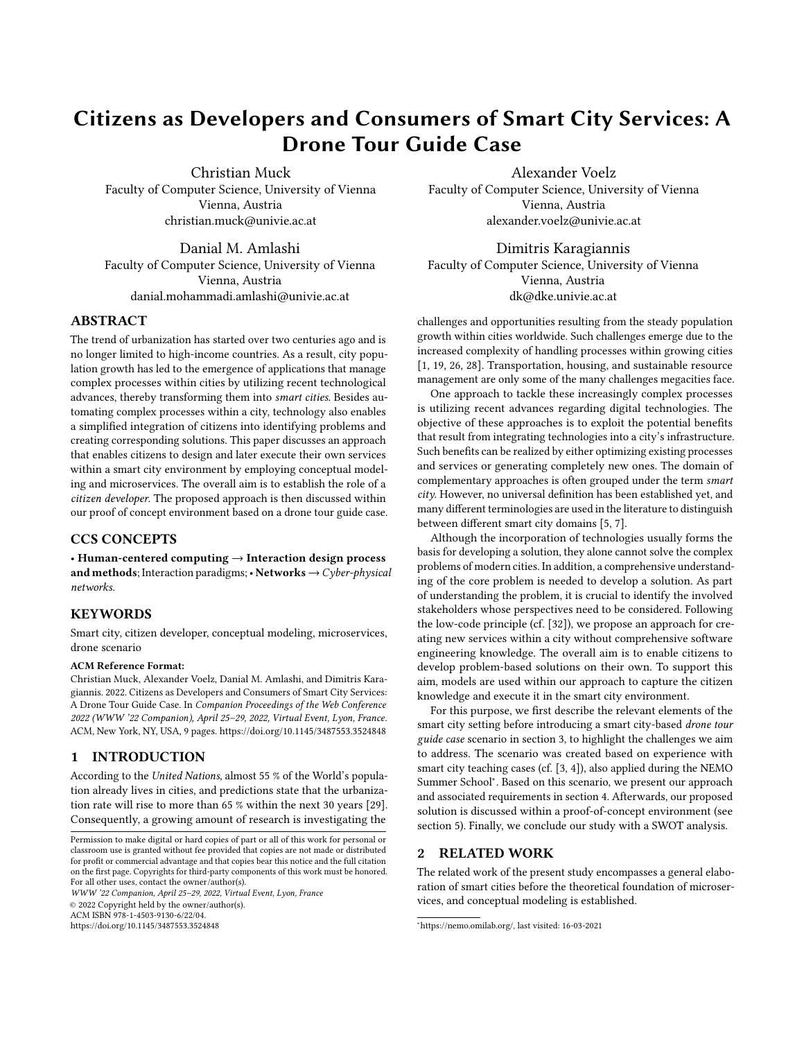<span id="page-3-0"></span>WWW '22 Companion, April 25–29, 2022, Virtual Event, Lyon, France Christian Muck et al. Christian Muck et al.



Figure 1: Developer Interface of Microservice Configuration Environment

### 3.2 The Smart City Environment

For a comprehensive understanding of the drone tour guide case and the possibilities of the microservice architecture, the environment of our scenario needs to be determined.

The drone tour guide scenario takes place in a smart city environment equipped with CPS, which offers a microservice-oriented architecture for the city infrastructure. Due to this open infrastructure, the CPS can communicate with each other and gather necessary information while being structurally independent. This lack of a dependency on basic microservices allows developers to create complex services without interfering with existing ones. In our scenario, the smart city uses dynamic and static CPS to gather and distribute information in the ecosystem. Static CPS, such as smart trash cans and surveillance cameras, are strategically placed in defined locations. In contrast, dynamic CPS, such as flying drones, gather and use the information on traffic and weather conditions while moving through the city.

### 3.3 The Drone Tour Guide Scenarios

The next step in this section on the drone tour guide case is to present two scenarios. We describe the respective procedure relevant to realizing a drone service in the smart city while also highlighting the previously discussed requirements. The first scenario illustrates the tour creation process by a citizen developer, while the second one depicts the tour consumption by a citizen or tourist.

Tour creation. For exemplification, let us assume a citizen of Vienna decides to use its expertise in Viennese architecture to create a tour specifically designed to include the city's most famous

architectural buildings. To do so, the citizen first creates a profile on the citizen developer platform for drone tours. At this point, the previously described requirements of awareness and participation come into play since the service cannot be offered without the contributions of citizens. The platform provides an interface for these citizen developers, containing a selection of most commonly used and best-fitting microservices, as displayed in Figure [1.](#page-3-0) Further elaborations on this exemplary microservice interface of our drone tour guide scenario are provided in section [5.](#page-5-0) After registration, the citizen developer can create a drone tour according to his ideas using the conceptual modeling languages offered by the citizen developer platform. This is achieved by combining individual microservices among the available ones, which range from CityDrones: Drone Interface and Vienna Pedestrian Routing Service up to Vienna Weather Reporting Service in our scenario.

Tour consumption. Following the tour creation process, let us now assume that a tourist is visiting the city of Vienna and decides to get to know the most famous attractions of the city. Again, the previously described awareness requirement is highlighted since the tourist must be aware of the drone tour guide service to use it. To select a tour, the tourist first needs to create a user account and browse the library of tours made available by citizen developers through the previously described process of tour creation. After browsing through the library of available tours, the tourist selects a tour fitting their preferences, created by the architectural domain expert. Upon selection, the tourist is asked to check-in at the nearest drone station while also receiving a tour summary, information about the individual stops, and general information about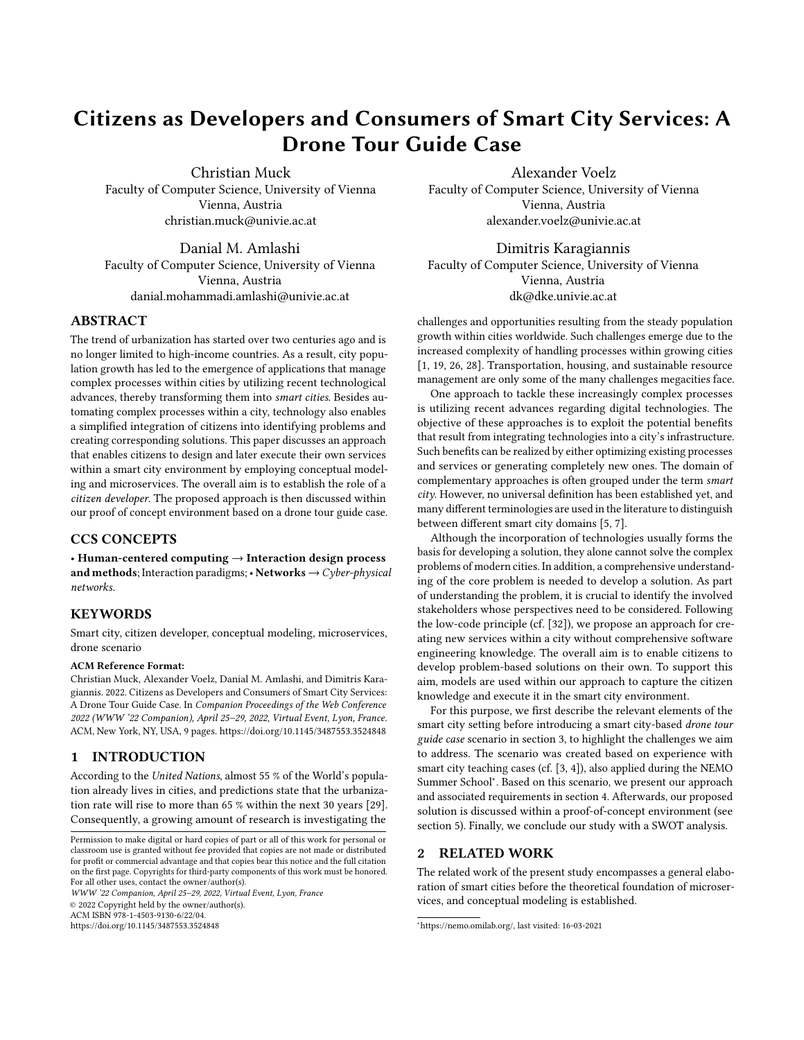Citizens as Developers and Consumers of Smart City Services WWW '22 Companion, April 25–29, 2022, Virtual Event, Lyon, France

the weather. The current weather information for the different locations in the city is gathered by other drones currently moving around the city. As soon as the platform confirms the arrival at the pickup point, the tourist is assigned a personal tour guide drone, which introduces itself, explains the tour process, and kindly asks the tourist to follow along for the duration of the tour. In the last step, the drone flies to the nearest drone station after completing the tour to charge and be available for the next customer.

# <span id="page-4-0"></span>4 MODEL-BASED DOMAIN-SPECIFIC SERVICES THROUGH MICROSERVICE ORCHESTRATION

In the context of the introduced drone tour guide case, we now discuss our proposed solution on how conceptual modeling combined with a microservice architecture can facilitate the creation of new services by citizens of a smart city. In the following, city services describes services that citizens created to offer specific functionalities to consumers. Such city services are created with the help of conceptual models. Thereby multiple microservices are used to offer this functionality. A microservice in this context is a reusable service provided within the smart city to create new services.

### 4.1 Relevant Smart City Entities

To begin with, we introduce the relevant entities of our use case. Figure [2](#page-4-1) displays the different interactions between these entities in an interdependence model. Human represents human actors who can engage with a smart city through two distinct interactions. The first of these interactions is labeled Citizen as consumer and means that citizens consume city services or microservices offered by the city. Depending on the specific service, the consumers interact with the interface (e.g., web interface) to accomplish a particular task. The second interaction is labeled Citizen as developer and represents the possibility of citizens to create their own city services within a smart city through the use of conceptual models.

The developer relation is the core focus of this paper, in which we analyze how a citizen can define their city services. The aim is that humans without well-founded programming skills are provided with an opportunity to create new city services through conceptual modeling. To accomplish this aim, we first discuss the requirements a smart city must fulfill to allow for service creations as described in our case. Therefore, we follow a low-code approach (see section [3.1\)](#page-2-1) to reduce the needed programming skills for developers.

The entity Smart City represents the services offered and the physical environments they interact with. The physical part is represented through Environment and contains all aspects which are not directly connected to technology (e.g., trees, streets, buildings, etc.). The applications and hardware directly related to computing power are represented through Technology. These components offer the services' APIs and implement the application logic. Examples for hardware in Technology would be CPS like the drone or sensors.

Possible interactions between Technology and Environment are represented by Sensing and Actuation Interaction, which both represent relations between the Environment and fitting hardware in Technology. Sensing means that some aspects of the smart city are captured and transformed into digital signals, like a temperature sensor or a video stream. On the other hand, actuation describes the

<span id="page-4-1"></span>

Figure 2: Smart City entities: An Interdependence Model

change of an element in the smart city, like traffic lights changing their color. Although these relations mark an important aspect of smart cities, they are not the focus of this work, which is why these capabilities are considered to be provided.

In total, two roles can be identified regarding the relation between humans and the smart city: consumers and developers. In this context, consumers use predefined services to satisfy a need for which they have to interact with the smart city. More precisely, a tourist must interact with the drone tour guide service to reserve a drone or adapt the route according to their needs. Corresponding interactions need to be considered while creating new city services.

The developer is defined through the Citizen as Developer relation and has the goal to create a new city service to be used by the inhabitants of a smart city. As already mentioned, developers in the context of this paper do not need extensive knowledge in software engineering or coding. By following a low-code approach, developers are enabled to create new city services through conceptual modeling. Since models operate on a higher abstraction level than code, they should be easier to comprehend. However, developers still have to be familiar with the city infrastructure and the conceptual modeling methods to some extent.

### 4.2 Model-based City Services

After discussing the important entities and their roles within our smart city, we now elaborate on how conceptual modeling can support developers in creating city services.

City services generally need basic functionalities to operate, for example, processing payments, finding routes, ascertaining weather forecasts, and similar tasks. Consequently, such functionalities should be encapsulated and offered to developers by other parties, like the municipality, private businesses, or other citizens. Reusing functionalities eases the work of developers and gives providers of functionalities the opportunity to specialize in their tasks. This can be accomplished by using a microservice architecture, where each functionality is encapsulated in one microservice [\[6,](#page-8-15) [23\]](#page-8-16).

The microservices can either be created through a low-code approach or software engineering. As defined in this paper, city services can also be created through the reuse of already existing microservices, which in our case is done by a developer through conceptual models. A microservice can provide and require information, and both ways must be supported by the modeling tool.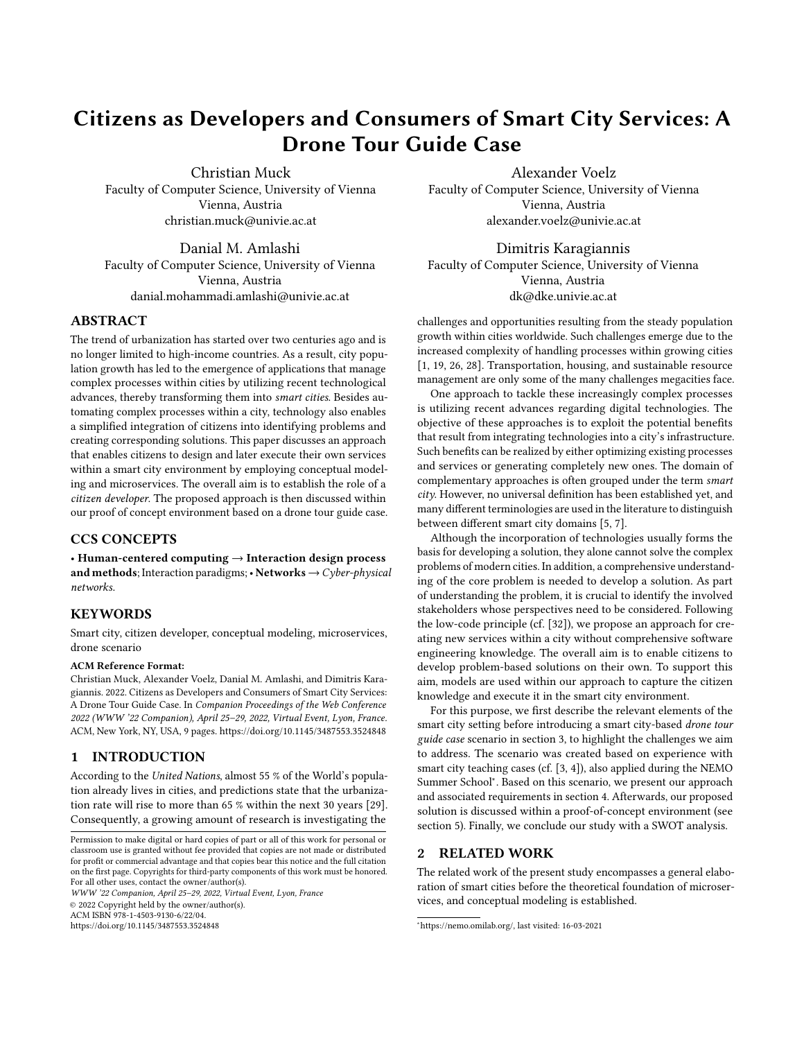Between the interaction with two different microservices, it can be necessary to prepare the information from one microservice to be used as input for the next one. To acknowledge the consumer's interaction with the city service, it is necessary that a microservice provides the corresponding capabilities. This can be accomplished either by dedicated communication services or if the interaction is part of the microservice, offering the desired functionality in the first place. In our drone tour guide example, this can mean that communication with the tourist is either handled over a dedicated communication service or part of the routing service itself.

The models can be used with microservices for a more specific or general purpose. An example of one specific microservice would be a routing service for the old town, while a payment microservice would be more general. Therefore, different models with different degrees of domain specificity are needed [\[9,](#page-8-30) [15\]](#page-8-31). This also means that the extent to which concepts in a modeling language are oriented on the domain of the microservice (e.g., routing) varies just as the number of different microservices that can be used.

### <span id="page-5-2"></span>4.3 Smart City Infrastructure Requirements

Based on the drone tour guide case (see section [3\)](#page-2-0) and the previous subsections, we now extract requirements towards the proposed infrastructure, with which we mean the modeling tool for creating and executing the conceptual models and the environment for managing the microservices.

First, a modeling tool for creating and processing models must be available. Such a tool should provide not only generic but also domain-specific model processing capabilities that are tailored to the needs of a specific domain [\[16\]](#page-8-23). In our case, domain-specific processing is represented by the execution of a model in the smart city environment. Therefore, model processing is an essential requirement for the proposed infrastructure. The modeling tool must process, send, and receive information to enable the interaction with the microservices and thereby create city services. Nevertheless, the modeling tool does not have to be a single application, as different modeling methods with different modeling tools can be used to describe various aspects of a city service. Such tools must be able to link the modeled information to create a coherent view throughout the models, assuming that the information is separated in multiple modeling methods or even modeling tools. Further, the modeling methods should evolve alongside the smart city to always offer the right modeling method for the right problem [\[14\]](#page-8-32).

Parts of already modeled knowledge should be reusable within the model. This can support the developers even further, as it enables structuring of the models and reusing parts from other developers. For example, the model on how to interact with a routing service can be shared with and used by other developers to easily retrieve a route for their own city service. The respective microservices must not only be able to execute their own application logic but also interact with the consumer to tailor specific executions. An example from the drone tour guide would be that the drone does not know where to go next and therefore asks the consumer to decide. These interaction capabilities must be included in the model, as they hold the application logic of a city service.

Lastly, the consumer must be able to trigger the defined city service to decide when the respective service starts. Therefore, the

<span id="page-5-1"></span>

Figure 3: The Interdependence Model: A Drone Tour Guide **Instance** 

modeled knowledge must be provided to the environment to be callable and executable. The microservices also need a platform where they are managed and configured for integration into city services. Besides storing microservices, it is vital that their status can be controlled to interfere if problems occur and a service is not responsive. Further, the microservices should be scaled if there is exceptionally high traffic for a specific service.

# <span id="page-5-0"></span>5 THE DRONE TOUR GUIDE: PROOF OF **CONCEPT**

In this section, we apply the insights from the previous section in the context of the introduced drone tour guide case. The objective is to outline the used proof of concept system to evaluate our solution for handling comparable cases in smart cities by employing conceptual modeling and microservices.

For this purpose, we adapted the interdependence model from Figure [2](#page-4-1) to fit the drone tour guide case. The result is displayed in Figure [3,](#page-5-1) where the two roles, the consumer as tourist and the developer as tour guide creator, are represented, each with their corresponding interaction types to the smart city. In this section, we concentrate on the developer interaction since the citizen developer's ability to describe new tours through conceptual modeling is essential to reduce the required programming skills. We assume that the interaction between humans and the drone and between the drone and the smart city is already established through microservices. Hence we focus on how the existing microservices can be utilized collectively to create new city services for consumers. In our case, the newly created city service is represented by the drone tour guide that guides tourists through the city while providing insightful information about selected points of interest (POIs).

The two relations between citizens and the smart city are visu-alized in the Usage Layer of Figure [4.](#page-6-0) If citizens interact with the Smart City Environment and consume services, they take on the role of consumers. If citizens interact with the execution environment to create new services, they take on the role of a developer, which can configure existing services through the Configuration Environment. By doing so, new city services are created through the collaborative interaction of citizen developers. From the Design Layer the modeling tools can be used to create the models, which are later used in the Execution Layer to execute the services.

Within the introduced drone tour guide scenario, the developer of a new tour has to consider all necessary capabilities needed for the tour before finding fitting microservices. Only after can identified microservices be configured and orchestrated. The orchestration of existing microservices reduces the skill requirements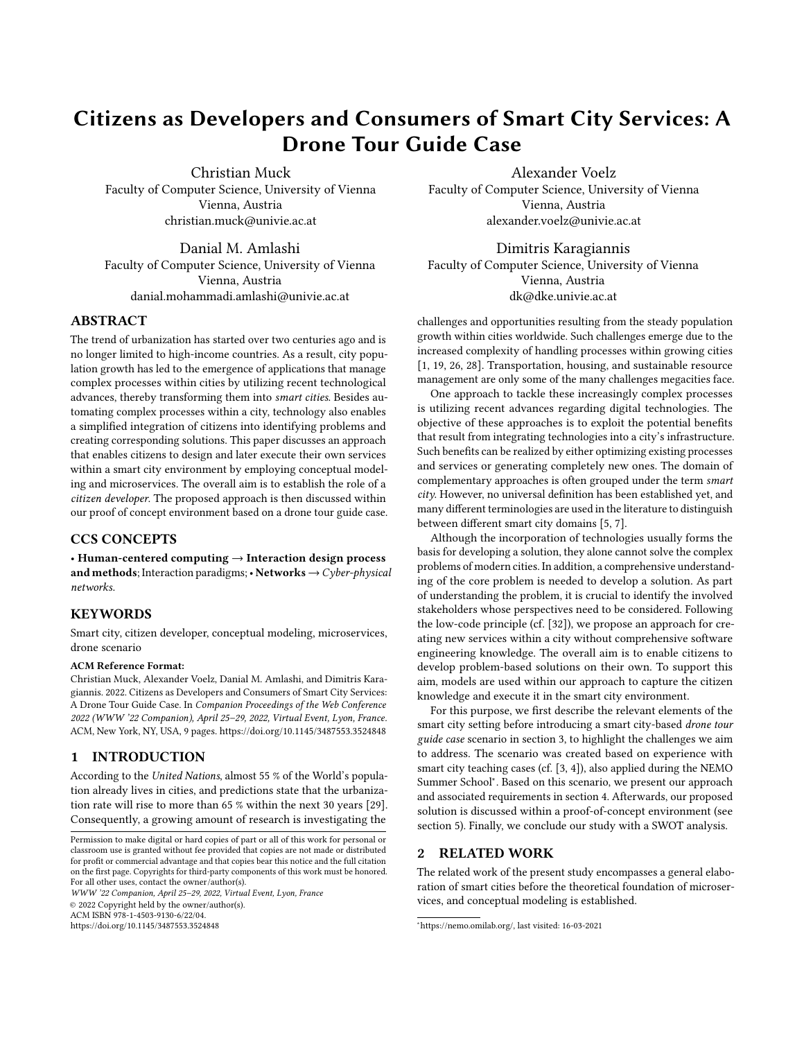Citizens as Developers and Consumers of Smart City Services WWW '22 Companion, April 25–29, 2022, Virtual Event, Lyon, France

<span id="page-6-0"></span>

Figure 4: The Drone Tour Guide: A three-layered Component Architecture

for defining new city services since they don't need to be created from scratch. For this to be possible, different conceptual models need to be created that capture the essence of the new city service.

In the proof of concept system, the Olive microservice framework (see [\[2,](#page-8-33) [8\]](#page-8-34)) was used to provide the microservices of the smart city. Olive stands for OmiLab Integrated Virtual Environment and is a microservice framework for creating model-aware web applications. It offers a common interface structure for its services, allowing the integration of external web services through a wrapper and the implementation of dedicated Olive microservices, which can then be accessed over a REST API. All microservices of Olive have a similar API structure to standardize the interaction. The wrapper enables services not implemented in Olive to be integrated and offered over the harmonized API structure. A standardized API structure eases the offering of interfaces to external web services within a modeling environment.

In Figure [1](#page-3-0) we showed a web interface of configurable microservices for creating drone tours in an exemplary Olive instance. The overview can be automatically generated if the needed information

is provided during microservice implementation. Each tile represents a microservice with a corresponding description provided by the creator. All the information for integrating the microservices in a new city service can be gathered from this interface. Additionally, it can be used to configure and interact with the microservices to better incorporate them in new city services.

For our proof of concept, we not only discuss the benefits of microservice architecture in the given case but also how conceptual modeling can be used in a low-code fashion to reduce the entry requirements for potential developers of city services and through that, increase the available services within a smart city in the long run. Therefore, the models, or more specifically the modeling tools, must be able to (i) represent the knowledge in a processable way and (ii) interact with the microservices, which are the REST APIs of Olive in our case. As we do not want to limit our proof of concept to only one modeling method, we use the ADOxx metamodeling platform [\[16\]](#page-8-23) to create domain-specific modeling methods or employ ready-to-use modeling tools created with ADOxx. Many domainspecific modeling methods have already been implemented with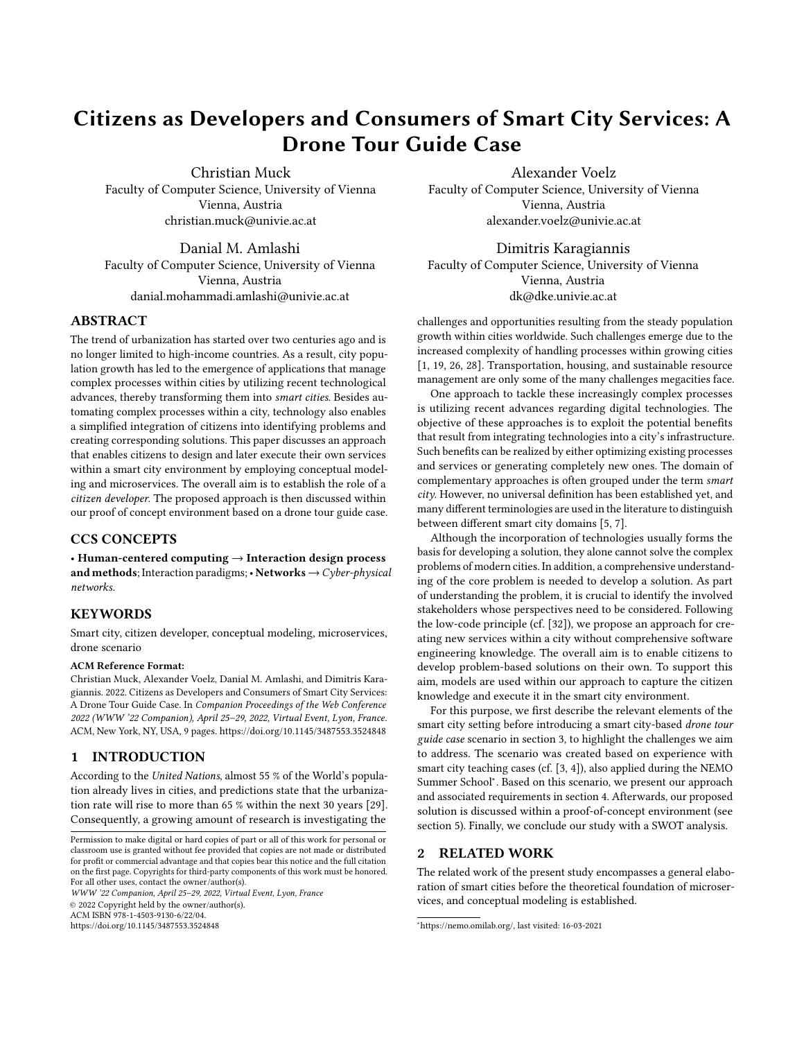the ADOxx platform [\[17,](#page-8-35) [18\]](#page-8-36) and some modeling methods were used to execute use-cases with CPS [\[38\]](#page-8-18), or in the context of the Olive microservice environment [\[8\]](#page-8-34).

A domain-specific modeling method prototype was created and tailored for linking parts of a route to their POIs and the POI's information. A diagrammatic model can be created within the modeling tool and passed on to the tour guide service to extract the needed information for integrated POIs. An example can be seen in the top left corner of Figure [4.](#page-6-0)

Other modeling methods can be used to orchestrate microservices (e.g., payment, routing, weather, etc.). We use general-purpose languages to define this part in the proof of concept. Notably, we use their implementation in the Bee-Up tool. In Figure [4](#page-6-0) the generalpurpose modeling is shown in the upper-right corner under Smart City Service Models, which visualizes that these models use the available microservices specific to our drone tour guide scenario by interacting with their API in the Execution Layer. For the drone tour guide scenario, additional information like weather or traffic is included in the tour execution through the orchestration of different services. Further, it is shown that services can access information from models (e.g., content linking models) to use this knowledge to execute a specific service.

In the Execution Layer, the implementation aspects in our proof of concept environment are visualized. An execution environment like Amazon Web Serveries (AWS) must be available to execute and manage the different services and their instances. The services are then integrated into a microservice environment, like Olive in our tour guide scenario. The microservice environment can control the running services in the execution environment and get evaluation information back, which can be forwarded to the user interface or handled automatically. Olive then offers an overview of the available services (cf. Configuration Environment). This overview realizes the user interface of the Olive services and can support the deployment of new services. The modeling environment (e.g., Bee-Up) can interact with the Execution Environment (e.g., AWS) over its interface. Therefore, the knowledge of the models must be transformed into a sequence of processing steps that can be executed. Further, the information returned from the execution environment can be used to monitor the execution within the modeling environment and make decisions based on real-time data.

With our proof of concept, we evaluated our idea and analyzed how the interaction of models and microservices can be achieved to support the creation of novel city services without the need for extensive coding knowledge.

### 6 CONCLUSION

In this paper, we introduced the basic principles of an approach that enables citizens of a smart city to develop and offer their own services without the need for comprehensive software engineering knowledge by reusing existing microservices. For this purpose, we propose using conceptual models as the essential foundation for describing new services. These models are created by citizen developers and later processed by the smart city infrastructure to execute the new services, which are then offered to be consumed by other citizens. The introduced drone tour guide case was used to motivate and discuss the essential aspects of our approach.

To conclude, a SWOT analysis is presented to evaluate the findings of our study in a structured manner:

Strengths: The proposed microservice architecture enables reusability on different levels. On one hand, microservices can be reused as discussed in section [4.3.](#page-5-2) On the other hand, related scenarios could also be modeled and implemented using our approach, such as defibrillator delivering drones [\[33\]](#page-8-37). These advantages are based on the loose coupling of the models to the execution environment. The application knowledge is captured in the models and can be interpreted by different microservices. This implies that the defined case is executable if the microservice interface can be connected to the models, even in case the initial microservices are modified. For example, the hardware of drones might change, but as long as the interface stays similar, new drones can still be used within our proposed architecture.

Weaknesses: The introduced approach relies on an environment in which existing microservices are already available and can be reused in a meaningful way. Still, the infrastructure enabling the connection of microservices and models is not standardized. Therefore, different ways of creating and executing models or microservices exist, which are not easily integrated. Additionally, the practical application of the proposed architecture has yet to be tested in the real-world scenario of a smart city. Until today, the approach was only used in teaching and prototype environments. Further research is needed so that the approach can be analyzed in and adapted to more realistic environments.

Opportunities: The major opportunity of our approach is the offered support for citizens who want to develop smart solutions for problems within the city they live in, even if they lack the technical knowledge to do so. This advancement towards citizen developers is enabled through abstract models, which reduce the involved complexity and lower the required skills for creating smart city services in regards to software engineering and coding. As a result, city administrations can be supported with identifying and solving the respective city's challenges. Metamodeling and the modeling methods created with it offer great opportunities for this purpose since they have been confirmed as sufficient tools for supporting the digital transformation process [\[22\]](#page-8-38). Accordingly, future research should aim at incorporating our approach of an open and model-based microservice platform into the innovation strategy of smart cities to advance the digital transformation and, at the same time, foster citizen engagement through the openness of the platform. Offering usage-based monetary compensations to the citizen developers for their created city services provides an opportunity to support citizen engagement even further.

Threats: The threats regarding the drone tour guide correspond to the challenges discussed in section [3.1.](#page-2-1) Namely, ICT infrastructure deficits and lacking awareness among citizens (developers and consumers) pose existential challenges for most smart city services. Additionally, the increased risk of cyber attacks must be considered in this context [\[31\]](#page-8-39), as our approach uses open data and is build on an open platform. Since the introduced approach relies on an existing system of reusable microservices, the whole approach will not reach its full potential if this system cannot be established. Further, integrating different systems and services from multiple providers increases the probability that errors occur, which can be hard to solve in such complex environments.